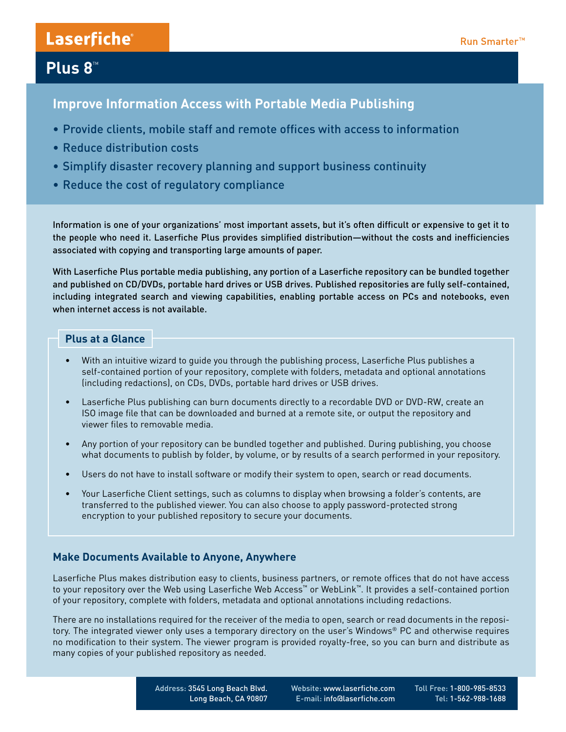# Laserfiche®

## **Plus 8™**

**Improve Information Access with Portable Media Publishing**

- Provide clients, mobile staff and remote offices with access to information
- Reduce distribution costs
- Simplify disaster recovery planning and support business continuity
- Reduce the cost of regulatory compliance

Information is one of your organizations' most important assets, but it's often difficult or expensive to get it to the people who need it. Laserfiche Plus provides simplified distribution—without the costs and inefficiencies associated with copying and transporting large amounts of paper.

With Laserfiche Plus portable media publishing, any portion of a Laserfiche repository can be bundled together and published on CD/DVDs, portable hard drives or USB drives. Published repositories are fully self-contained, including integrated search and viewing capabilities, enabling portable access on PCs and notebooks, even when internet access is not available.

### **Plus at a Glance**

- With an intuitive wizard to quide you through the publishing process, Laserfiche Plus publishes a self-contained portion of your repository, complete with folders, metadata and optional annotations (including redactions), on CDs, DVDs, portable hard drives or USB drives.
- Laserfiche Plus publishing can burn documents directly to a recordable DVD or DVD-RW, create an ISO image file that can be downloaded and burned at a remote site, or output the repository and viewer files to removable media.
- Any portion of your repository can be bundled together and published. During publishing, you choose what documents to publish by folder, by volume, or by results of a search performed in your repository.
- • Users do not have to install software or modify their system to open, search or read documents.
- Your Laserfiche Client settings, such as columns to display when browsing a folder's contents, are transferred to the published viewer. You can also choose to apply password-protected strong encryption to your published repository to secure your documents.

### **Make Documents Available to Anyone, Anywhere**

Laserfiche Plus makes distribution easy to clients, business partners, or remote offices that do not have access to your repository over the Web using Laserfiche Web Access™ or WebLink™. It provides a self-contained portion of your repository, complete with folders, metadata and optional annotations including redactions.

There are no installations required for the receiver of the media to open, search or read documents in the repository. The integrated viewer only uses a temporary directory on the user's Windows® PC and otherwise requires no modification to their system. The viewer program is provided royalty-free, so you can burn and distribute as many copies of your published repository as needed.

> Address: 3545 Long Beach Blvd. Long Beach, CA 90807

 Website: www.laserfiche.com E-mail: info@laserfiche.com Toll Free: 1-800-985-8533 Tel: 1-562-988-1688